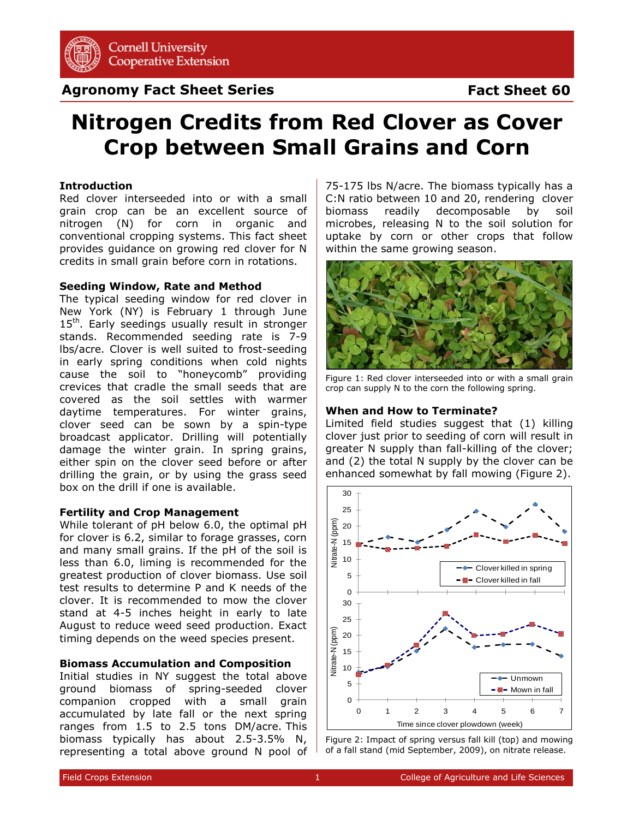

# **Agronomy Fact Sheet Series**

# **Fact Sheet 60**

# **Nitrogen Credits from Red Clover as Cover Crop between Small Grains and Corn**

#### **Introduction**

Red clover interseeded into or with a small grain crop can be an excellent source of nitrogen (N) for corn in organic and conventional cropping systems. This fact sheet provides guidance on growing red clover for N credits in small grain before corn in rotations.

#### **Seeding Window, Rate and Method**

The typical seeding window for red clover in New York (NY) is February 1 through June  $15<sup>th</sup>$ . Early seedings usually result in stronger stands. Recommended seeding rate is 7-9 lbs/acre. Clover is well suited to frost-seeding in early spring conditions when cold nights cause the soil to "honeycomb" providing crevices that cradle the small seeds that are covered as the soil settles with warmer daytime temperatures. For winter grains, clover seed can be sown by a spin-type broadcast applicator. Drilling will potentially damage the winter grain. In spring grains, either spin on the clover seed before or after drilling the grain, or by using the grass seed box on the drill if one is available.

#### **Fertility and Crop Management**

While tolerant of pH below 6.0, the optimal pH for clover is 6.2, similar to forage grasses, corn and many small grains. If the pH of the soil is less than 6.0, liming is recommended for the greatest production of clover biomass. Use soil test results to determine P and K needs of the clover. It is recommended to mow the clover stand at 4-5 inches height in early to late August to reduce weed seed production. Exact timing depends on the weed species present.

### **Biomass Accumulation and Composition**

Initial studies in NY suggest the total above ground biomass of spring-seeded clover companion cropped with a small grain accumulated by late fall or the next spring ranges from 1.5 to 2.5 tons DM/acre. This biomass typically has about 2.5-3.5% N, representing a total above ground N pool of

75-175 lbs N/acre. The biomass typically has a C:N ratio between 10 and 20, rendering clover biomass readily decomposable by soil microbes, releasing N to the soil solution for uptake by corn or other crops that follow within the same growing season.



Figure 1: Red clover interseeded into or with a small grain crop can supply N to the corn the following spring.

#### **When and How to Terminate?**

Limited field studies suggest that (1) killing clover just prior to seeding of corn will result in greater N supply than fall-killing of the clover; and (2) the total N supply by the clover can be enhanced somewhat by fall mowing (Figure 2).